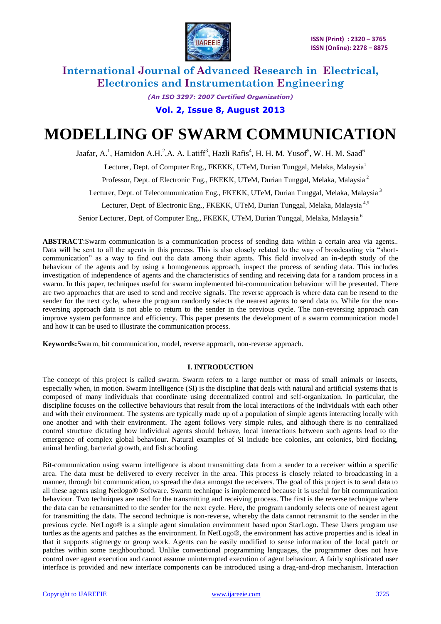

*(An ISO 3297: 2007 Certified Organization)* **Vol. 2, Issue 8, August 2013**

# **MODELLING OF SWARM COMMUNICATION**

Jaafar, A.<sup>1</sup>, Hamidon A.H.<sup>2</sup>,A. A. Latiff<sup>3</sup>, Hazli Rafis<sup>4</sup>, H. H. M. Yusof<sup>5</sup>, W. H. M. Saad<sup>6</sup>

Lecturer, Dept. of Computer Eng., FKEKK, UTeM, Durian Tunggal, Melaka, Malaysia<sup>1</sup>

Professor, Dept. of Electronic Eng., FKEKK, UTeM, Durian Tunggal, Melaka, Malaysia <sup>2</sup>

Lecturer, Dept. of Telecommunication Eng., FKEKK, UTeM, Durian Tunggal, Melaka, Malaysia<sup>3</sup>

Lecturer, Dept. of Electronic Eng., FKEKK, UTeM, Durian Tunggal, Melaka, Malaysia<sup>4,5</sup>

Senior Lecturer, Dept. of Computer Eng., FKEKK, UTeM, Durian Tunggal, Melaka, Malaysia<sup>6</sup>

**ABSTRACT**:Swarm communication is a communication process of sending data within a certain area via agents.. Data will be sent to all the agents in this process. This is also closely related to the way of broadcasting via "shortcommunication" as a way to find out the data among their agents. This field involved an in-depth study of the behaviour of the agents and by using a homogeneous approach, inspect the process of sending data. This includes investigation of independence of agents and the characteristics of sending and receiving data for a random process in a swarm. In this paper, techniques useful for swarm implemented bit-communication behaviour will be presented. There are two approaches that are used to send and receive signals. The reverse approach is where data can be resend to the sender for the next cycle, where the program randomly selects the nearest agents to send data to. While for the nonreversing approach data is not able to return to the sender in the previous cycle. The non-reversing approach can improve system performance and efficiency. This paper presents the development of a swarm communication model and how it can be used to illustrate the communication process.

**Keywords:**Swarm, bit communication, model, reverse approach, non-reverse approach.

### **I. INTRODUCTION**

The concept of this project is called swarm. Swarm refers to a large number or mass of small animals or insects, especially when, in motion. Swarm Intelligence (SI) is the discipline that deals with natural and artificial systems that is composed of many individuals that coordinate using decentralized control and self-organization. In particular, the discipline focuses on the collective behaviours that result from the local interactions of the individuals with each other and with their environment. The systems are typically made up of a population of simple agents interacting locally with one another and with their environment. The agent follows very simple rules, and although there is no centralized control structure dictating how individual agents should behave, local interactions between such agents lead to the emergence of complex global behaviour. Natural examples of SI include bee colonies, ant colonies, bird flocking, animal herding, bacterial growth, and fish schooling.

Bit-communication using swarm intelligence is about transmitting data from a sender to a receiver within a specific area. The data must be delivered to every receiver in the area. This process is closely related to broadcasting in a manner, through bit communication, to spread the data amongst the receivers. The goal of this project is to send data to all these agents using Netlogo® Software. Swarm technique is implemented because it is useful for bit communication behaviour. Two techniques are used for the transmitting and receiving process. The first is the reverse technique where the data can be retransmitted to the sender for the next cycle. Here, the program randomly selects one of nearest agent for transmitting the data. The second technique is non-reverse, whereby the data cannot retransmit to the sender in the previous cycle. NetLogo® is a simple agent simulation environment based upon StarLogo. These Users program use turtles as the agents and patches as the environment. In NetLogo®, the environment has active properties and is ideal in that it supports stigmergy or group work. Agents can be easily modified to sense information of the local patch or patches within some neighbourhood. Unlike conventional programming languages, the programmer does not have control over agent execution and cannot assume uninterrupted execution of agent behaviour. A fairly sophisticated user interface is provided and new interface components can be introduced using a drag-and-drop mechanism. Interaction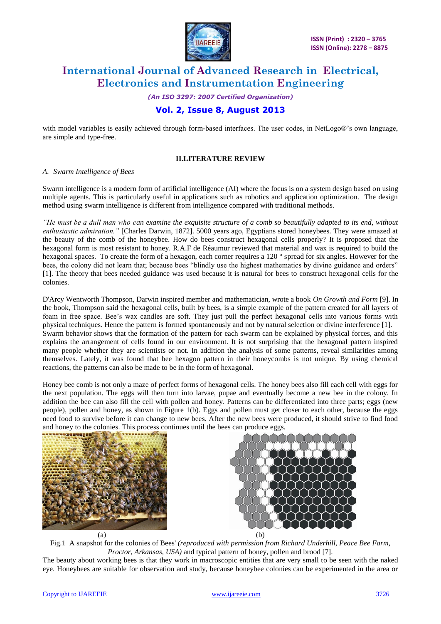

*(An ISO 3297: 2007 Certified Organization)*

# **Vol. 2, Issue 8, August 2013**

with model variables is easily achieved through form-based interfaces. The user codes, in NetLogo®'s own language, are simple and type-free.

### **II.LITERATURE REVIEW**

#### *A. Swarm Intelligence of Bees*

Swarm intelligence is a modern form of artificial intelligence (AI) where the focus is on a system design based on using multiple agents. This is particularly useful in applications such as robotics and application optimization. The design method using swarm intelligence is different from intelligence compared with traditional methods.

*"He must be a dull man who can examine the exquisite structure of a comb so beautifully adapted to its end, without enthusiastic admiration."* [Charles Darwin, 1872]. 5000 years ago, Egyptians stored honeybees. They were amazed at the beauty of the comb of the honeybee. How do bees construct hexagonal cells properly? It is proposed that the hexagonal form is most resistant to honey. R.A.F de Réaumur reviewed that material and wax is required to build the hexagonal spaces. To create the form of a hexagon, each corner requires a 120 ° spread for six angles. However for the bees, the colony did not learn that; because bees "blindly use the highest mathematics by divine guidance and orders" [1]. The theory that bees needed guidance was used because it is natural for bees to construct hexagonal cells for the colonies.

D'Arcy Wentworth Thompson, Darwin inspired member and mathematician, wrote a book *On Growth and Form* [9]. In the book, Thompson said the hexagonal cells, built by bees, is a simple example of the pattern created for all layers of foam in free space. Bee"s wax candles are soft. They just pull the perfect hexagonal cells into various forms with physical techniques. Hence the pattern is formed spontaneously and not by natural selection or divine interference [1]. Swarm behavior shows that the formation of the pattern for each swarm can be explained by physical forces, and this explains the arrangement of cells found in our environment. It is not surprising that the hexagonal pattern inspired many people whether they are scientists or not. In addition the analysis of some patterns, reveal similarities among themselves. Lately, it was found that bee hexagon pattern in their honeycombs is not unique. By using chemical reactions, the patterns can also be made to be in the form of hexagonal.

Honey bee comb is not only a maze of perfect forms of hexagonal cells. The honey bees also fill each cell with eggs for the next population. The eggs will then turn into larvae, pupae and eventually become a new bee in the colony. In addition the bee can also fill the cell with pollen and honey. Patterns can be differentiated into three parts; eggs (new people), pollen and honey, as shown in Figure 1(b). Eggs and pollen must get closer to each other, because the eggs need food to survive before it can change to new bees. After the new bees were produced, it should strive to find food and honey to the colonies. This process continues until the bees can produce eggs.





Fig.1 A snapshot for the colonies of Bees' *(reproduced with permission from Richard Underhill, Peace Bee Farm, Proctor, Arkansas, USA)* and typical pattern of honey, pollen and brood [7].

The beauty about working bees is that they work in macroscopic entities that are very small to be seen with the naked eye. Honeybees are suitable for observation and study, because honeybee colonies can be experimented in the area or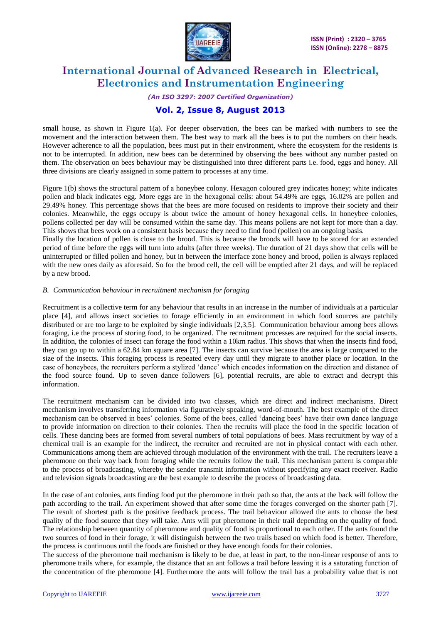

### *(An ISO 3297: 2007 Certified Organization)*

### **Vol. 2, Issue 8, August 2013**

small house, as shown in Figure 1(a). For deeper observation, the bees can be marked with numbers to see the movement and the interaction between them. The best way to mark all the bees is to put the numbers on their heads. However adherence to all the population, bees must put in their environment, where the ecosystem for the residents is not to be interrupted. In addition, new bees can be determined by observing the bees without any number pasted on them. The observation on bees behaviour may be distinguished into three different parts i.e. food, eggs and honey. All three divisions are clearly assigned in some pattern to processes at any time.

Figure 1(b) shows the structural pattern of a honeybee colony. Hexagon coloured grey indicates honey; white indicates pollen and black indicates egg. More eggs are in the hexagonal cells: about 54.49% are eggs, 16.02% are pollen and 29.49% honey. This percentage shows that the bees are more focused on residents to improve their society and their colonies. Meanwhile, the eggs occupy is about twice the amount of honey hexagonal cells. In honeybee colonies, pollens collected per day will be consumed within the same day. This means pollens are not kept for more than a day. This shows that bees work on a consistent basis because they need to find food (pollen) on an ongoing basis.

Finally the location of pollen is close to the brood. This is because the broods will have to be stored for an extended period of time before the eggs will turn into adults (after three weeks). The duration of 21 days show that cells will be uninterrupted or filled pollen and honey, but in between the interface zone honey and brood, pollen is always replaced with the new ones daily as aforesaid. So for the brood cell, the cell will be emptied after 21 days, and will be replaced by a new brood.

#### *B. Communication behaviour in recruitment mechanism for foraging*

Recruitment is a collective term for any behaviour that results in an increase in the number of individuals at a particular place [4], and allows insect societies to forage efficiently in an environment in which food sources are patchily distributed or are too large to be exploited by single individuals [2,3,5]. Communication behaviour among bees allows foraging, i.e the process of storing food, to be organized. The recruitment processes are required for the social insects. In addition, the colonies of insect can forage the food within a 10km radius. This shows that when the insects find food, they can go up to within a 62.84 km square area [7]. The insects can survive because the area is large compared to the size of the insects. This foraging process is repeated every day until they migrate to another place or location. In the case of honeybees, the recruiters perform a stylized "dance" which encodes information on the direction and distance of the food source found. Up to seven dance followers [6], potential recruits, are able to extract and decrypt this information.

The recruitment mechanism can be divided into two classes, which are direct and indirect mechanisms. Direct mechanism involves transferring information via figuratively speaking, word-of-mouth. The best example of the direct mechanism can be observed in bees" colonies. Some of the bees, called "dancing bees" have their own dance language to provide information on direction to their colonies. Then the recruits will place the food in the specific location of cells. These dancing bees are formed from several numbers of total populations of bees. Mass recruitment by way of a chemical trail is an example for the indirect, the recruiter and recruited are not in physical contact with each other. Communications among them are achieved through modulation of the environment with the trail. The recruiters leave a pheromone on their way back from foraging while the recruits follow the trail. This mechanism pattern is comparable to the process of broadcasting, whereby the sender transmit information without specifying any exact receiver. Radio and television signals broadcasting are the best example to describe the process of broadcasting data.

In the case of ant colonies, ants finding food put the pheromone in their path so that, the ants at the back will follow the path according to the trail. An experiment showed that after some time the forages converged on the shorter path [7]. The result of shortest path is the positive feedback process. The trail behaviour allowed the ants to choose the best quality of the food source that they will take. Ants will put pheromone in their trail depending on the quality of food. The relationship between quantity of pheromone and quality of food is proportional to each other. If the ants found the two sources of food in their forage, it will distinguish between the two trails based on which food is better. Therefore, the process is continuous until the foods are finished or they have enough foods for their colonies.

The success of the pheromone trail mechanism is likely to be due, at least in part, to the non-linear response of ants to pheromone trails where, for example, the distance that an ant follows a trail before leaving it is a saturating function of the concentration of the pheromone [4]. Furthermore the ants will follow the trail has a probability value that is not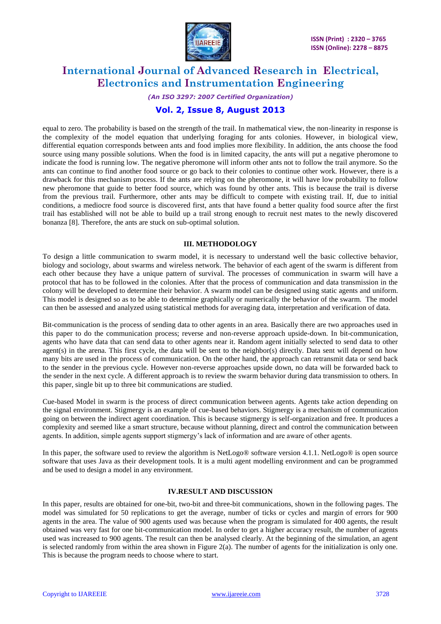

### *(An ISO 3297: 2007 Certified Organization)*

### **Vol. 2, Issue 8, August 2013**

equal to zero. The probability is based on the strength of the trail. In mathematical view, the non-linearity in response is the complexity of the model equation that underlying foraging for ants colonies. However, in biological view, differential equation corresponds between ants and food implies more flexibility. In addition, the ants choose the food source using many possible solutions. When the food is in limited capacity, the ants will put a negative pheromone to indicate the food is running low. The negative pheromone will inform other ants not to follow the trail anymore. So the ants can continue to find another food source or go back to their colonies to continue other work. However, there is a drawback for this mechanism process. If the ants are relying on the pheromone, it will have low probability to follow new pheromone that guide to better food source, which was found by other ants. This is because the trail is diverse from the previous trail. Furthermore, other ants may be difficult to compete with existing trail. If, due to initial conditions, a mediocre food source is discovered first, ants that have found a better quality food source after the first trail has established will not be able to build up a trail strong enough to recruit nest mates to the newly discovered bonanza [8]. Therefore, the ants are stuck on sub-optimal solution.

#### **III. METHODOLOGY**

To design a little communication to swarm model, it is necessary to understand well the basic collective behavior, biology and sociology, about swarms and wireless network. The behavior of each agent of the swarm is different from each other because they have a unique pattern of survival. The processes of communication in swarm will have a protocol that has to be followed in the colonies. After that the process of communication and data transmission in the colony will be developed to determine their behavior. A swarm model can be designed using static agents and uniform. This model is designed so as to be able to determine graphically or numerically the behavior of the swarm. The model can then be assessed and analyzed using statistical methods for averaging data, interpretation and verification of data.

Bit-communication is the process of sending data to other agents in an area. Basically there are two approaches used in this paper to do the communication process; reverse and non-reverse approach upside-down. In bit-communication, agents who have data that can send data to other agents near it. Random agent initially selected to send data to other  $a$ gent(s) in the arena. This first cycle, the data will be sent to the neighbor(s) directly. Data sent will depend on how many bits are used in the process of communication. On the other hand, the approach can retransmit data or send back to the sender in the previous cycle. However non-reverse approaches upside down, no data will be forwarded back to the sender in the next cycle. A different approach is to review the swarm behavior during data transmission to others. In this paper, single bit up to three bit communications are studied.

Cue-based Model in swarm is the process of direct communication between agents. Agents take action depending on the signal environment. Stigmergy is an example of cue-based behaviors. Stigmergy is a mechanism of communication going on between the indirect agent coordination. This is because stigmergy is self-organization and free. It produces a complexity and seemed like a smart structure, because without planning, direct and control the communication between agents. In addition, simple agents support stigmergy"s lack of information and are aware of other agents.

In this paper, the software used to review the algorithm is NetLogo® software version 4.1.1. NetLogo® is open source software that uses Java as their development tools. It is a multi agent modelling environment and can be programmed and be used to design a model in any environment.

#### **IV.RESULT AND DISCUSSION**

In this paper, results are obtained for one-bit, two-bit and three-bit communications, shown in the following pages. The model was simulated for 50 replications to get the average, number of ticks or cycles and margin of errors for 900 agents in the area. The value of 900 agents used was because when the program is simulated for 400 agents, the result obtained was very fast for one bit-communication model. In order to get a higher accuracy result, the number of agents used was increased to 900 agents. The result can then be analysed clearly. At the beginning of the simulation, an agent is selected randomly from within the area shown in Figure  $2(a)$ . The number of agents for the initialization is only one. This is because the program needs to choose where to start.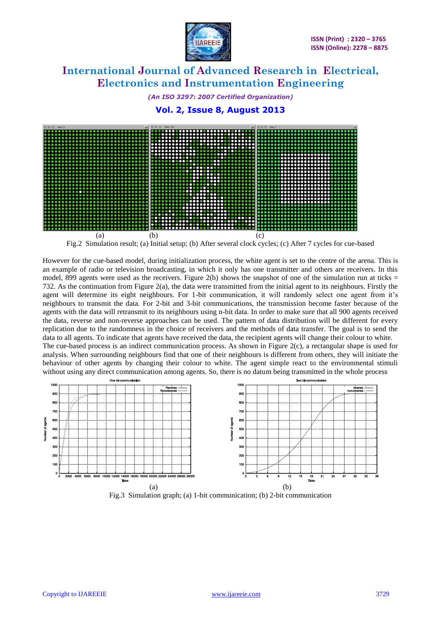

*(An ISO 3297: 2007 Certified Organization)* **Vol. 2, Issue 8, August 2013**



Fig.2 Simulation result; (a) Initial setup; (b) After several clock cycles; (c) After 7 cycles for cue-based

However for the cue-based model, during initialization process, the white agent is set to the centre of the arena. This is an example of radio or television broadcasting, in which it only has one transmitter and others are receivers. In this model, 899 agents were used as the receivers. Figure 2(b) shows the snapshot of one of the simulation run at ticks  $=$ 732. As the continuation from Figure 2(a), the data were transmitted from the initial agent to its neighbours. Firstly the agent will determine its eight neighbours. For 1-bit communication, it will randomly select one agent from it's neighbours to transmit the data. For 2-bit and 3-bit communications, the transmission become faster because of the agents with the data will retransmit to its neighbours using n-bit data. In order to make sure that all 900 agents received the data, reverse and non-reverse approaches can be used. The pattern of data distribution will be different for every replication due to the randomness in the choice of receivers and the methods of data transfer. The goal is to send the data to all agents. To indicate that agents have received the data, the recipient agents will change their colour to white. The cue-based process is an indirect communication process. As shown in Figure  $2(c)$ , a rectangular shape is used for analysis. When surrounding neighbours find that one of their neighbours is different from others, they will initiate the behaviour of other agents by changing their colour to white. The agent simple react to the environmental stimuli without using any direct communication among agents. So, there is no datum being transmitted in the whole process



Fig.3 Simulation graph; (a) 1-bit communication; (b) 2-bit communication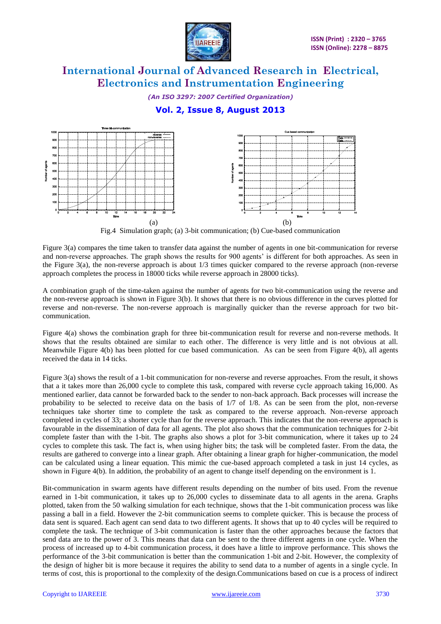

*(An ISO 3297: 2007 Certified Organization)*

## **Vol. 2, Issue 8, August 2013**



Fig.4 Simulation graph; (a) 3-bit communication; (b) Cue-based communication

Figure 3(a) compares the time taken to transfer data against the number of agents in one bit-communication for reverse and non-reverse approaches. The graph shows the results for 900 agents" is different for both approaches. As seen in the Figure 3(a), the non-reverse approach is about 1/3 times quicker compared to the reverse approach (non-reverse approach completes the process in 18000 ticks while reverse approach in 28000 ticks).

A combination graph of the time-taken against the number of agents for two bit-communication using the reverse and the non-reverse approach is shown in Figure 3(b). It shows that there is no obvious difference in the curves plotted for reverse and non-reverse. The non-reverse approach is marginally quicker than the reverse approach for two bitcommunication.

Figure 4(a) shows the combination graph for three bit-communication result for reverse and non-reverse methods. It shows that the results obtained are similar to each other. The difference is very little and is not obvious at all. Meanwhile Figure 4(b) has been plotted for cue based communication. As can be seen from Figure 4(b), all agents received the data in 14 ticks.

Figure 3(a) shows the result of a 1-bit communication for non-reverse and reverse approaches. From the result, it shows that a it takes more than 26,000 cycle to complete this task, compared with reverse cycle approach taking 16,000. As mentioned earlier, data cannot be forwarded back to the sender to non-back approach. Back processes will increase the probability to be selected to receive data on the basis of 1/7 of 1/8. As can be seen from the plot, non-reverse techniques take shorter time to complete the task as compared to the reverse approach. Non-reverse approach completed in cycles of 33; a shorter cycle than for the reverse approach. This indicates that the non-reverse approach is favourable in the dissemination of data for all agents. The plot also shows that the communication techniques for 2-bit complete faster than with the 1-bit. The graphs also shows a plot for 3-bit communication, where it takes up to 24 cycles to complete this task. The fact is, when using higher bits; the task will be completed faster. From the data, the results are gathered to converge into a linear graph. After obtaining a linear graph for higher-communication, the model can be calculated using a linear equation. This mimic the cue-based approach completed a task in just 14 cycles, as shown in Figure 4(b). In addition, the probability of an agent to change itself depending on the environment is 1.

Bit-communication in swarm agents have different results depending on the number of bits used. From the revenue earned in 1-bit communication, it takes up to 26,000 cycles to disseminate data to all agents in the arena. Graphs plotted, taken from the 50 walking simulation for each technique, shows that the 1-bit communication process was like passing a ball in a field. However the 2-bit communication seems to complete quicker. This is because the process of data sent is squared. Each agent can send data to two different agents. It shows that up to 40 cycles will be required to complete the task. The technique of 3-bit communication is faster than the other approaches because the factors that send data are to the power of 3. This means that data can be sent to the three different agents in one cycle. When the process of increased up to 4-bit communication process, it does have a little to improve performance. This shows the performance of the 3-bit communication is better than the communication 1-bit and 2-bit. However, the complexity of the design of higher bit is more because it requires the ability to send data to a number of agents in a single cycle. In terms of cost, this is proportional to the complexity of the design.Communications based on cue is a process of indirect